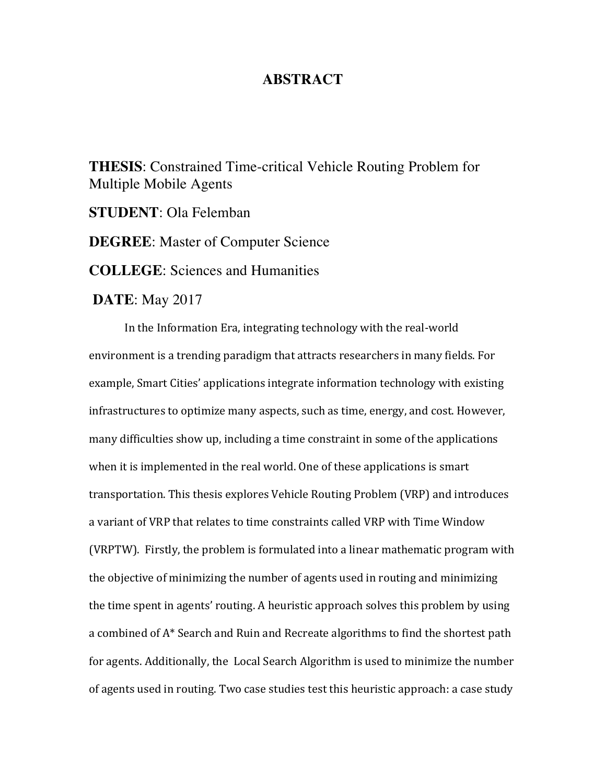## **ABSTRACT**

**THESIS**: Constrained Time-critical Vehicle Routing Problem for Multiple Mobile Agents

**STUDENT**: Ola Felemban

**DEGREE**: Master of Computer Science

**COLLEGE**: Sciences and Humanities

**DATE**: May 2017

In the Information Era, integrating technology with the real-world environment is a trending paradigm that attracts researchers in many fields. For example, Smart Cities' applications integrate information technology with existing infrastructures to optimize many aspects, such as time, energy, and cost. However, many difficulties show up, including a time constraint in some of the applications when it is implemented in the real world. One of these applications is smart transportation. This thesis explores Vehicle Routing Problem (VRP) and introduces a variant of VRP that relates to time constraints called VRP with Time Window (VRPTW). Firstly, the problem is formulated into a linear mathematic program with the objective of minimizing the number of agents used in routing and minimizing the time spent in agents' routing. A heuristic approach solves this problem by using a combined of A\* Search and Ruin and Recreate algorithms to find the shortest path for agents. Additionally, the Local Search Algorithm is used to minimize the number of agents used in routing. Two case studies test this heuristic approach: a case study